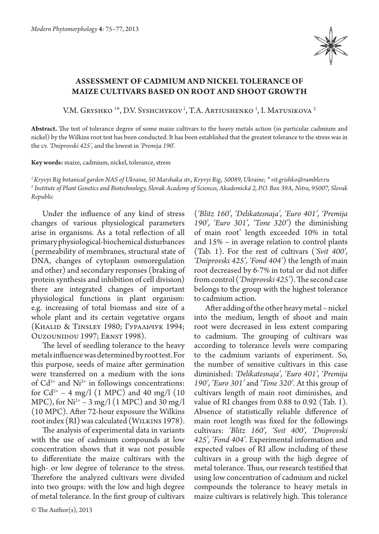

## **Assessment of cadmium and nickel tolerance of maize cultivars based on root and shoot growth**

V.M. Gryshko <sup>1</sup>\*, D.V. Syshchykov<sup>1</sup>, T.A. Artiushenko <sup>1</sup>, I. Matusikova <sup>2</sup>

**Abstract.** The test of tolerance degree of some maize cultivars to the heavy metals action (in particular cadmium and nickel) by the Wilkins root test has been conducted. It has been established that the greatest tolerance to the stress was in the cv. *'Dniprovski 425',* and the lowest in *'Premija 190*'.

**Key words:** maize, cadmium, nickel, tolerance, stress

*1 Kryvyi Rig botanical garden NAS of Ukraine, 50 Marshaka str., Kryvyi Rig, 50089, Ukraine; \* vit.grishko@rambler.ru 2 Institute of Plant Genetics and Biotechnology, Slovak Academy of Sciences, Akademická 2, P.O. Box 39A, Nitra, 95007, Slovak Republic*

Under the influence of any kind of stress changes of various physiological parameters arise in organisms. As a total reflection of all primary physiological-biochemical disturbances (permeability of membranes, structural state of DNA, changes of cytoplasm osmoregulation and other) and secondary responses (braking of protein synthesis and inhibition of cell division) there are integrated changes of important physiological functions in plant organism: e.g. increasing of total biomass and size of a whole plant and its certain vegetative organs (Khalid & Tinsley 1980; Гуральчук 1994; Ouzounidou 1997; Ernst 1998).

The level of seedling tolerance to the heavy metals influence was determined by root test. For this purpose, seeds of maize after germination were transferred on a medium with the ions of  $Cd^{2+}$  and  $Ni^{2+}$  in followings concentrations: for  $Cd^{2+} - 4$  mg/l (1 MPC) and 40 mg/l (10 MPC), for  $Ni^{2+} - 3$  mg/l (1 MPC) and 30 mg/l (10 MPC). After 72-hour exposure the Wilkins root index (RI) was calculated (WILKINS 1978).

The analysis of experimental data in variants with the use of cadmium compounds at low concentration shows that it was not possible to differentiate the maize cultivars with the high- or low degree of tolerance to the stress. Therefore the analyzed cultivars were divided into two groups: with the low and high degree of metal tolerance. In the first group of cultivars

© The Author(s), 2013

(*'Blitz 160', 'Delikatesnaja', 'Euro 401', 'Premija 190', 'Euro 301', 'Tone 320'*) the diminishing of main root' length exceeded 10% in total and 15% – in average relation to control plants (Tab. 1). For the rest of cultivars (*'Svit 400', 'Dniprovski 425', 'Fond 404'*) the length of main root decreased by 6-7% in total or did not differ from control (*'Dniprovski 425'*). The second case belongs to the group with the highest tolerance to cadmium action.

After adding of the other heavy metal – nickel into the medium, length of shoot and main root were decreased in less extent comparing to cadmium. The grouping of cultivars was according to tolerance levels were comparing to the cadmium variants of experiment. So, the number of sensitive cultivars in this case diminished: *'Delikatesnaja', 'Euro 401', 'Premija 190', 'Euro 301'* and *'Tone 320'.* At this group of cultivars length of main root diminishes, and value of RI changes from 0.88 to 0.92 (Tab. 1). Absence of statistically reliable difference of main root length was fixed for the followings cultivars: *'Blitz 160', 'Svit 400', 'Dniprovski 425', 'Fond 404'.* Experimental information and expected values of RI allow including of these cultivars in a group with the high degree of metal tolerance. Thus, our research testified that using low concentration of cadmium and nickel compounds the tolerance to heavy metals in maize cultivars is relatively high. This tolerance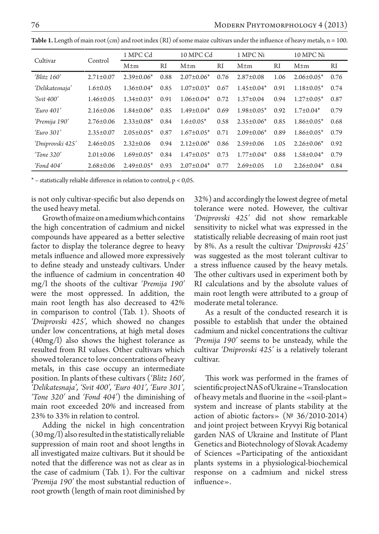| Cultivar            | Control         | 1 MPC Cd          |               | 10 MPC Cd         |      | 1 MPC Ni          |      | 10 MPC Ni         |      |
|---------------------|-----------------|-------------------|---------------|-------------------|------|-------------------|------|-------------------|------|
|                     |                 | $M \pm m$         | <sub>RI</sub> | $M \pm m$         | RI   | $M \pm m$         | RI   | $M \pm m$         | RI   |
| 'Blitz $160'$       | $2.71 \pm 0.07$ | $2.39\pm0.06*$    | 0.88          | $2.07 \pm 0.06*$  | 0.76 | $2.87 \pm 0.08$   | 1.06 | $2.06\pm0.05*$    | 0.76 |
| 'Delikatesnaja'     | $1.6 \pm 0.05$  | $1.36 \pm 0.04*$  | 0.85          | $1.07 \pm 0.03*$  | 0.67 | $1.45 \pm 0.04*$  | 0.91 | $1.18 \pm 0.05^*$ | 0.74 |
| $\text{Svit } 400'$ | $1.46 \pm 0.05$ | $1.34 \pm 0.03*$  | 0.91          | $1.06 \pm 0.04*$  | 0.72 | $1.37 \pm 0.04$   | 0.94 | $1.27 \pm 0.05^*$ | 0.87 |
| 'Euro $401'$        | $2.16\pm0.06$   | $1.84 \pm 0.06*$  | 0.85          | $1.49 \pm 0.04*$  | 0.69 | $1.98 \pm 0.05^*$ | 0.92 | $1.7 \pm 0.04*$   | 0.79 |
| 'Premija 190'       | $2.76 \pm 0.06$ | $2.33 \pm 0.08^*$ | 0.84          | $1.6 \pm 0.05*$   | 0.58 | $2.35 \pm 0.06*$  | 0.85 | $1.86 \pm 0.05*$  | 0.68 |
| 'Euro.301'          | $2.35 \pm 0.07$ | $2.05 \pm 0.05^*$ | 0.87          | $1.67 \pm 0.05*$  | 0.71 | $2.09 \pm 0.06*$  | 0.89 | $1.86 \pm 0.05*$  | 0.79 |
| 'Dniprovski 425'    | $2.46\pm0.05$   | $2.32 \pm 0.06$   | 0.94          | $2.12\pm0.06*$    | 0.86 | $2.59 \pm 0.06$   | 1.05 | $2.26 \pm 0.06^*$ | 0.92 |
| Tone 320'           | $2.01 \pm 0.06$ | $1.69 \pm 0.05*$  | 0.84          | $1.47 \pm 0.05^*$ | 0.73 | $1.77 \pm 0.04*$  | 0.88 | $1.58 \pm 0.04*$  | 0.79 |
| $\pmod{404}$        | $2.68 \pm 0.06$ | $2.49\pm0.05*$    | 0.93          | $2.07 \pm 0.04*$  | 0.77 | $2.69 \pm 0.05$   | 1.0  | $2.26 \pm 0.04^*$ | 0.84 |

**Table 1.** Length of main root (cm) and root index (RI) of some maize cultivars under the influence of heavy metals, n = 100.

 $*$  – statistically reliable difference in relation to control,  $p < 0.05$ .

is not only cultivar-specific but also depends on the used heavy metal.

Growth of maize on a medium which contains the high concentration of cadmium and nickel compounds have appeared as a better selective factor to display the tolerance degree to heavy metals influence and allowed more expressively to define steady and unsteady cultivars. Under the influence of cadmium in concentration 40 mg/l the shoots of the cultivar *'Premija 190'*  were the most oppressed. In addition, the main root length has also decreased to 42% in comparison to control (Tab. 1). Shoots of *'Dniprovski 425',* which showed no changes under low concentrations, at high metal doses (40mg/l) also shows the highest tolerance as resulted from RI values. Other cultivars which showed tolerance to low concentrations of heavy metals, in this case occupy an intermediate position. In plants of these cultivars (*'Blitz 160', 'Delikatesnaja', 'Svit 400', 'Euro 401', 'Euro 301', 'Tone 320'* and *'Fond 404'*) the diminishing of main root exceeded 20% and increased from 23% to 33% in relation to control.

Adding the nickel in high concentration (30 mg/l) also resulted in the statistically reliable suppression of main root and shoot lengths in all investigated maize cultivars. But it should be noted that the difference was not as clear as in the case of cadmium (Tab. 1). For the cultivar *'Premija 190'* the most substantial reduction of root growth (length of main root diminished by

32%) and accordingly the lowest degree of metal tolerance were noted. However, the cultivar *'Dniprovski 425'* did not show remarkable sensitivity to nickel what was expressed in the statistically reliable decreasing of main root just by 8%. As a result the cultivar *'Dniprovski 425'*  was suggested as the most tolerant cultivar to a stress influence caused by the heavy metals. The other cultivars used in experiment both by RI calculations and by the absolute values of main root length were attributed to a group of moderate metal tolerance.

As a result of the conducted research it is possible to establish that under the obtained cadmium and nickel concentrations the cultivar *'Premija 190'* seems to be unsteady, while the cultivar *'Dniprovski 425'* is a relatively tolerant cultivar.

This work was performed in the frames of scientific project NAS of Ukraine «Translocation of heavy metals and fluorine in the «soil-plant» system and increase of plants stability at the action of abiotic factors» (№ 36/2010-2014) and joint project between Kryvyi Rig botanical garden NAS of Ukraine and Institute of Plant Genetics and Biotechnology of Slovak Academy of Sciences «Participating of the antioxidant plants systems in a physiological-biochemical response on a cadmium and nickel stress influence».